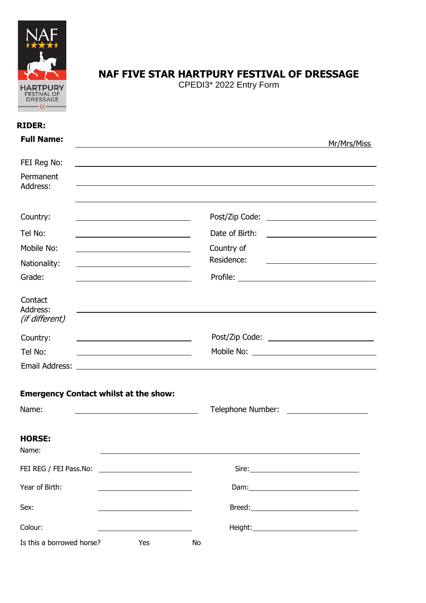

## **NAF FIVE STAR HARTPURY FESTIVAL OF DRESSAGE**

CPEDI3\* 2022 Entry Form

| <b>RIDER:</b>                                                                                                                                                                   |                                                                        |
|---------------------------------------------------------------------------------------------------------------------------------------------------------------------------------|------------------------------------------------------------------------|
| <b>Full Name:</b>                                                                                                                                                               | Mr/Mrs/Miss                                                            |
| FEI Reg No:                                                                                                                                                                     |                                                                        |
| Permanent<br>Address:                                                                                                                                                           |                                                                        |
| Country:                                                                                                                                                                        |                                                                        |
| Tel No:                                                                                                                                                                         | Date of Birth:<br><u> 1989 - Johann Stoff, Amerikaansk politiker (</u> |
| Mobile No:                                                                                                                                                                      | Country of                                                             |
| Nationality:                                                                                                                                                                    | Residence:                                                             |
| Grade:                                                                                                                                                                          |                                                                        |
| Contact<br>Address:<br>(if different)                                                                                                                                           |                                                                        |
| Country:<br><u> 1989 - Johann Stoff, deutscher Stoffen und der Stoffen und der Stoffen und der Stoffen und der Stoffen und der</u>                                              |                                                                        |
| Tel No:<br><u> 1989 - Johann Barnett, fransk politiker (d. 1989)</u>                                                                                                            |                                                                        |
|                                                                                                                                                                                 |                                                                        |
| <b>Emergency Contact whilst at the show:</b><br>Name:<br><u> 1989 - Johann Stoff, deutscher Stoffen und der Stoffen und der Stoffen und der Stoffen und der Stoffen und der</u> |                                                                        |
| <b>HORSE:</b><br>Name:                                                                                                                                                          |                                                                        |
| FEI REG / FEI Pass.No:                                                                                                                                                          |                                                                        |
| Year of Birth:                                                                                                                                                                  |                                                                        |
| Sex:                                                                                                                                                                            |                                                                        |
| Colour:                                                                                                                                                                         |                                                                        |
| Is this a borrowed horse?<br>Yes                                                                                                                                                | No                                                                     |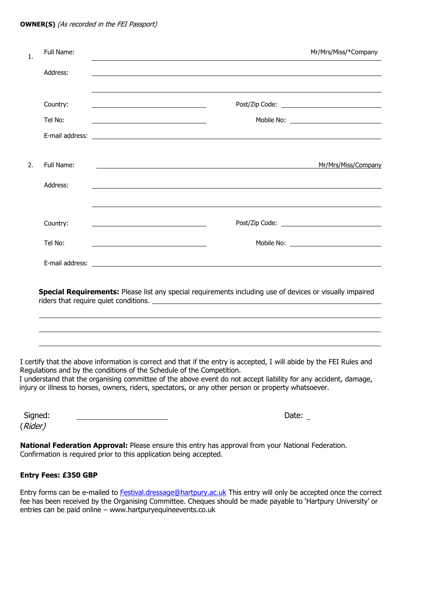#### **OWNER(S)** (As recorded in the FEI Passport)

| 1. | Full Name: | Mr/Mrs/Miss/*Company                                                                                                                         |
|----|------------|----------------------------------------------------------------------------------------------------------------------------------------------|
|    | Address:   |                                                                                                                                              |
|    |            |                                                                                                                                              |
|    | Country:   |                                                                                                                                              |
|    | Tel No:    |                                                                                                                                              |
|    |            |                                                                                                                                              |
| 2. | Full Name: | Mr/Mrs/Miss/Company<br><u> 1989 - Johann Harry Barn, mars ar breithinn ar breithinn ar breithinn ar breithinn ar breithinn ar breithinn </u> |
|    | Address:   | ,我们也不会有一个人的人,我们也不会有一个人的人,我们也不会有一个人的人。""我们,我们也不会有一个人的人,我们也不会有一个人的人,我们也不会有一个人的人,我们                                                             |
|    | Country:   |                                                                                                                                              |
|    | Tel No:    | <u> 1989 - Johann Stein, mars an t-Amerikaansk ferskeizh en de Amerikaansk ferskeizh en de Amerikaansk ferskeizh</u>                         |
|    |            |                                                                                                                                              |
|    |            | Special Requirements: Please list any special requirements including use of devices or visually impaired                                     |
|    |            |                                                                                                                                              |

I certify that the above information is correct and that if the entry is accepted, I will abide by the FEI Rules and Regulations and by the conditions of the Schedule of the Competition.

I understand that the organising committee of the above event do not accept liability for any accident, damage, injury or illness to horses, owners, riders, spectators, or any other person or property whatsoever.

Signed: 2010 2020 2021 2022 2022 2022 2030 2040 2040 2040 2051 2062 2071 2082 2093 2094 2095 2096 20 (Rider)

**National Federation Approval:** Please ensure this entry has approval from your National Federation. Confirmation is required prior to this application being accepted.

#### **Entry Fees: £350 GBP**

 $\overline{a}$ ı

Entry forms can be e-mailed to **Festival.dressage@hartpury.ac.uk** This entry will only be accepted once the correct fee has been received by the Organising Committee. Cheques should be made payable to 'Hartpury University' or entries can be paid online – www.hartpuryequineevents.co.uk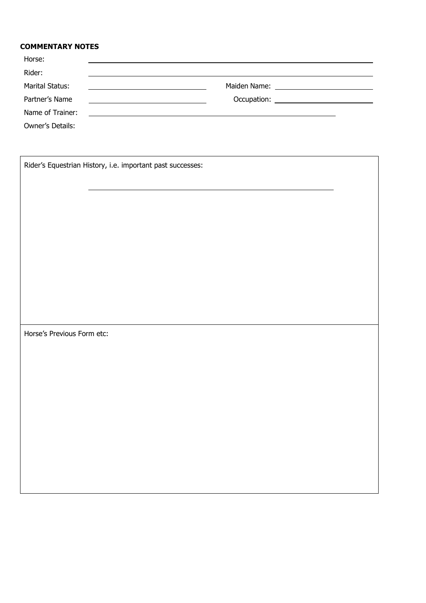### **COMMENTARY NOTES**

| Horse:           |                                                                                                                       |  |
|------------------|-----------------------------------------------------------------------------------------------------------------------|--|
| Rider:           |                                                                                                                       |  |
| Marital Status:  |                                                                                                                       |  |
| Partner's Name   |                                                                                                                       |  |
| Name of Trainer: | <u> 1989 - Andrea Station Barbara, amerikan personal di sebagai personal di sebagai personal di sebagai personal </u> |  |
| Owner's Details: |                                                                                                                       |  |

|                            | Rider's Equestrian History, i.e. important past successes: |  |
|----------------------------|------------------------------------------------------------|--|
|                            |                                                            |  |
|                            |                                                            |  |
|                            |                                                            |  |
|                            |                                                            |  |
|                            |                                                            |  |
|                            |                                                            |  |
|                            |                                                            |  |
|                            |                                                            |  |
| Horse's Previous Form etc: |                                                            |  |
|                            |                                                            |  |
|                            |                                                            |  |
|                            |                                                            |  |
|                            |                                                            |  |
|                            |                                                            |  |
|                            |                                                            |  |
|                            |                                                            |  |
|                            |                                                            |  |
|                            |                                                            |  |